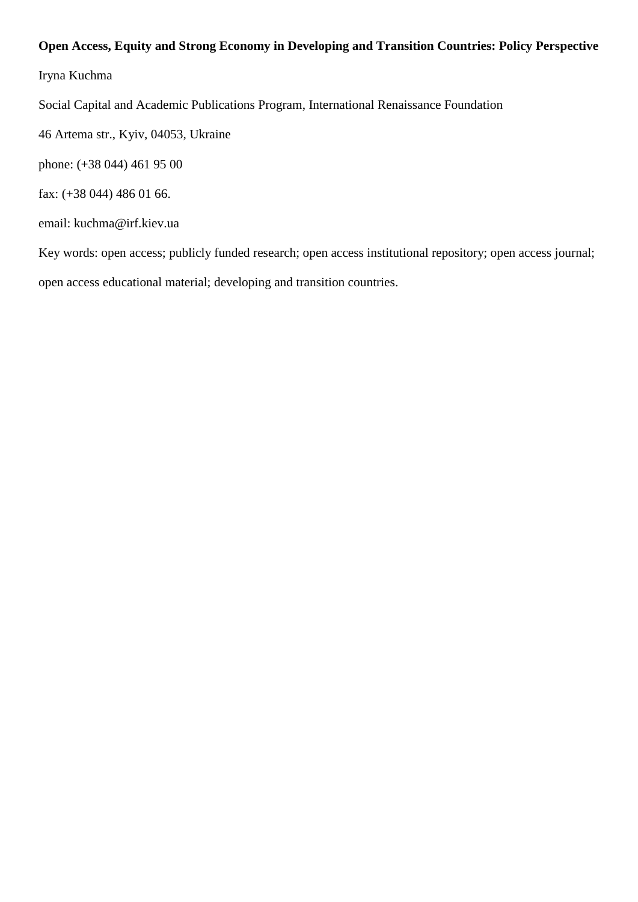# **Open Access, Equity and Strong Economy in Developing and Transition Countries: Policy Perspective**

Iryna Kuchma

Social Capital and Academic Publications Program, International Renaissance Foundation

46 Artema str., Kyiv, 04053, Ukraine

phone: (+38 044) 461 95 00

fax: (+38 044) 486 01 66.

email: kuchma@irf.kiev.ua

Key words: open access; publicly funded research; open access institutional repository; open access journal; open access educational material; developing and transition countries.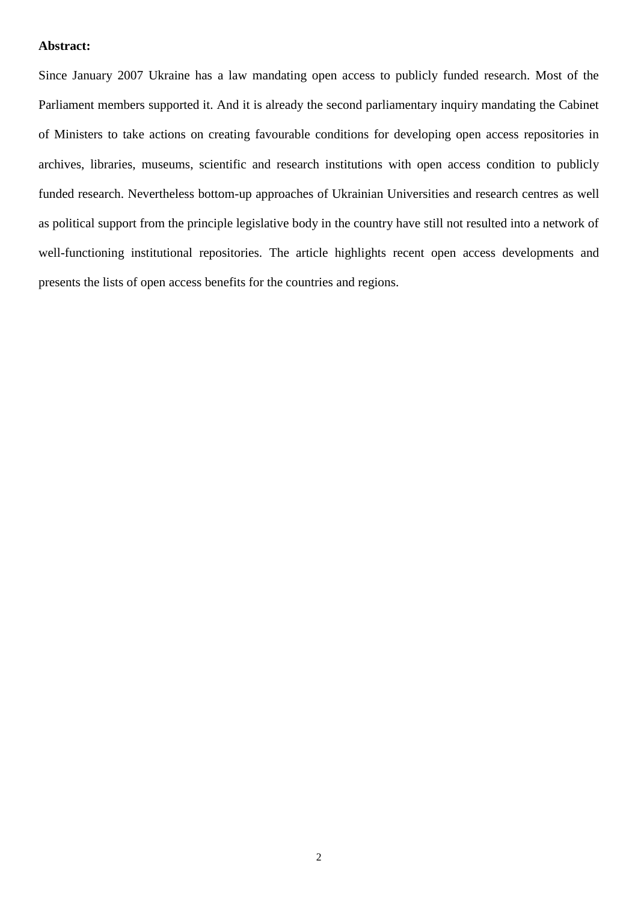# **Abstract:**

Since January 2007 Ukraine has a law mandating open access to publicly funded research. Most of the Parliament members supported it. And it is already the second parliamentary inquiry mandating the Cabinet of Ministers to take actions on creating favourable conditions for developing open access repositories in archives, libraries, museums, scientific and research institutions with open access condition to publicly funded research. Nevertheless bottom-up approaches of Ukrainian Universities and research centres as well as political support from the principle legislative body in the country have still not resulted into a network of well-functioning institutional repositories. The article highlights recent open access developments and presents the lists of open access benefits for the countries and regions.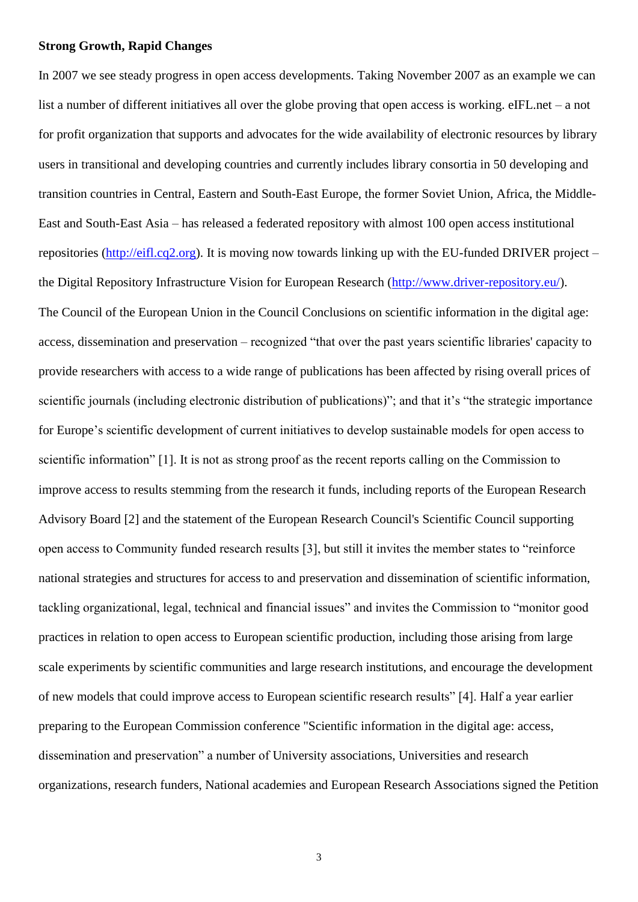## **Strong Growth, Rapid Changes**

In 2007 we see steady progress in open access developments. Taking November 2007 as an example we can list a number of different initiatives all over the globe proving that open access is working. eIFL.net – a not for profit organization that supports and advocates for the wide availability of electronic resources by library users in transitional and developing countries and currently includes [library consortia](http://www.eifl.net/cps/sections/countries) in 50 developing and transition countries in Central, Eastern and South-East Europe, the former Soviet Union, Africa, the Middle-East and South-East Asia – has released a federated repository with almost 100 open access institutional repositories [\(http://eifl.cq2.org\)](http://eifl.cq2.org/). It is moving now towards linking up with the EU-funded DRIVER project – the Digital Repository Infrastructure Vision for European Research [\(http://www.driver-repository.eu/\)](http://www.driver-repository.eu/). The Council of the European Union in the Council Conclusions on scientific information in the digital age: access, dissemination and preservation – recognized "that over the past years scientific libraries' capacity to provide researchers with access to a wide range of publications has been affected by rising overall prices of scientific journals (including electronic distribution of publications)"; and that it's "the strategic importance for Europe's scientific development of current initiatives to develop sustainable models for open access to scientific information" [1]. It is not as strong proof as the recent reports calling on the Commission to improve access to results stemming from the research it funds, including reports of the European Research Advisory Board [2] and the statement of the European Research Council's Scientific Council supporting open access to Community funded research results [3], but still it invites the member states to "reinforce" national strategies and structures for access to and preservation and dissemination of scientific information, tackling organizational, legal, technical and financial issues" and invites the Commission to "monitor good practices in relation to open access to European scientific production, including those arising from large scale experiments by scientific communities and large research institutions, and encourage the development of new models that could improve access to European scientific research results" [4]. Half a year earlier preparing to the European Commission conference "Scientific information in the digital age: access, dissemination and preservation" a number of University associations, Universities and research organizations, research funders, National academies and European Research Associations signed the Petition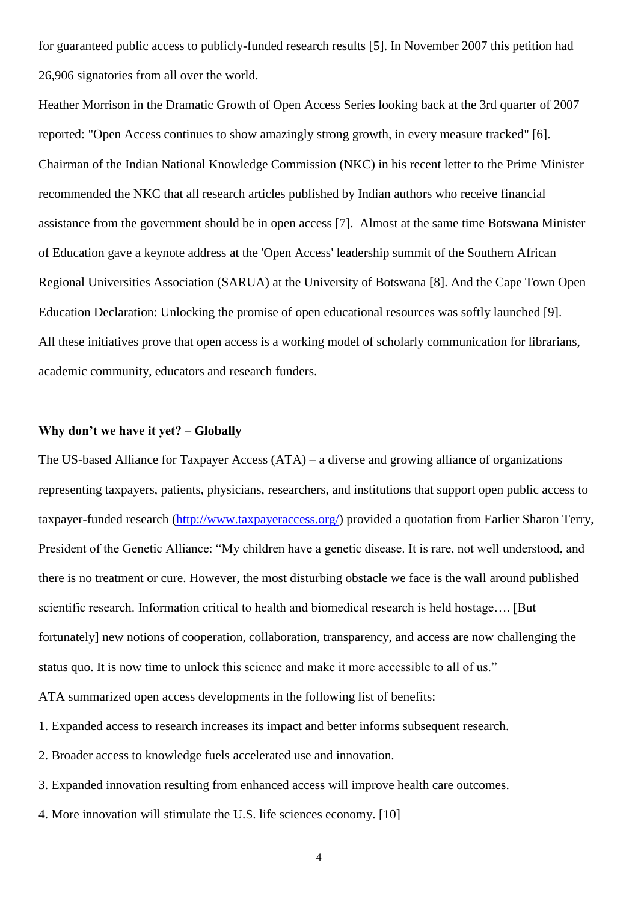for guaranteed public access to publicly-funded research results [5]. In November 2007 this petition had 26,906 signatories from all over the world.

Heather Morrison in the Dramatic Growth of Open Access Series looking back at the 3rd quarter of 2007 reported: "Open Access continues to show amazingly strong growth, in every measure tracked" [6]. Chairman of the Indian National Knowledge Commission (NKC) in his recent letter to the Prime Minister recommended the NKC that all research articles published by Indian authors who receive financial assistance from the government should be in open access [7]. Almost at the same time Botswana Minister of Education gave a keynote address at the 'Open Access' leadership summit of the Southern African Regional Universities Association (SARUA) at the University of Botswana [8]. And the Cape Town Open Education Declaration: Unlocking the promise of open educational resources was softly launched [9]. All these initiatives prove that open access is a working model of scholarly communication for librarians, academic community, educators and research funders.

# **Why don't we have it yet? – Globally**

The US-based Alliance for Taxpayer Access (ATA) – a diverse and growing alliance of organizations representing taxpayers, patients, physicians, researchers, and institutions that support open public access to taxpayer-funded research [\(http://www.taxpayeraccess.org/\)](http://www.taxpayeraccess.org/) provided a quotation from Earlier Sharon Terry, President of the Genetic Alliance: "My children have a genetic disease. It is rare, not well understood, and there is no treatment or cure. However, the most disturbing obstacle we face is the wall around published scientific research. Information critical to health and biomedical research is held hostage…. [But fortunately] new notions of cooperation, collaboration, transparency, and access are now challenging the status quo. It is now time to unlock this science and make it more accessible to all of us." ATA summarized open access developments in the following list of benefits:

- 1. Expanded access to research increases its impact and better informs subsequent research.
- 2. Broader access to knowledge fuels accelerated use and innovation.
- 3. Expanded innovation resulting from enhanced access will improve health care outcomes.
- 4. More innovation will stimulate the U.S. life sciences economy. [10]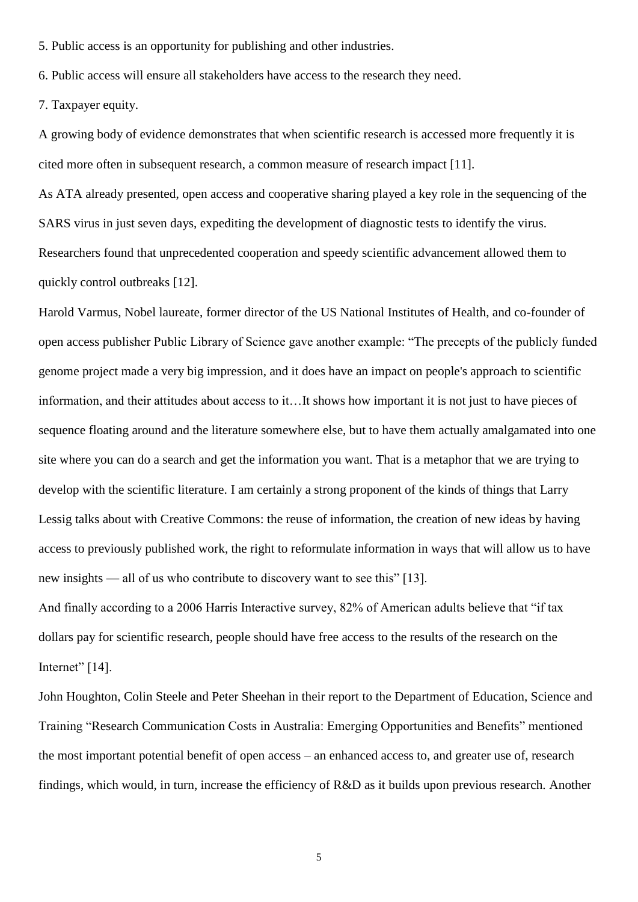5. Public access is an opportunity for publishing and other industries.

6. Public access will ensure all stakeholders have access to the research they need.

7. Taxpayer equity.

A growing body of evidence demonstrates that when scientific research is accessed more frequently it is cited more often in subsequent research, a common measure of research impact [11].

As ATA already presented, open access and cooperative sharing played a key role in the sequencing of the SARS virus in just seven days, expediting the development of diagnostic tests to identify the virus. Researchers found that unprecedented cooperation and speedy scientific advancement allowed them to quickly control outbreaks [12].

Harold Varmus, Nobel laureate, former director of the US National Institutes of Health, and co-founder of open access publisher Public Library of Science gave another example: "The precepts of the publicly funded genome project made a very big impression, and it does have an impact on people's approach to scientific information, and their attitudes about access to it…It shows how important it is not just to have pieces of sequence floating around and the literature somewhere else, but to have them actually amalgamated into one site where you can do a search and get the information you want. That is a metaphor that we are trying to develop with the scientific literature. I am certainly a strong proponent of the kinds of things that Larry Lessig talks about with Creative Commons: the reuse of information, the creation of new ideas by having access to previously published work, the right to reformulate information in ways that will allow us to have new insights — all of us who contribute to discovery want to see this" [13].

And finally according to a 2006 Harris Interactive survey, 82% of American adults believe that "if tax dollars pay for scientific research, people should have free access to the results of the research on the Internet" $[14]$ .

John Houghton, Colin Steele and Peter Sheehan in their report to the Department of Education, Science and Training "Research Communication Costs in Australia: Emerging Opportunities and Benefits" mentioned the most important potential benefit of open access – an enhanced access to, and greater use of, research findings, which would, in turn, increase the efficiency of R&D as it builds upon previous research. Another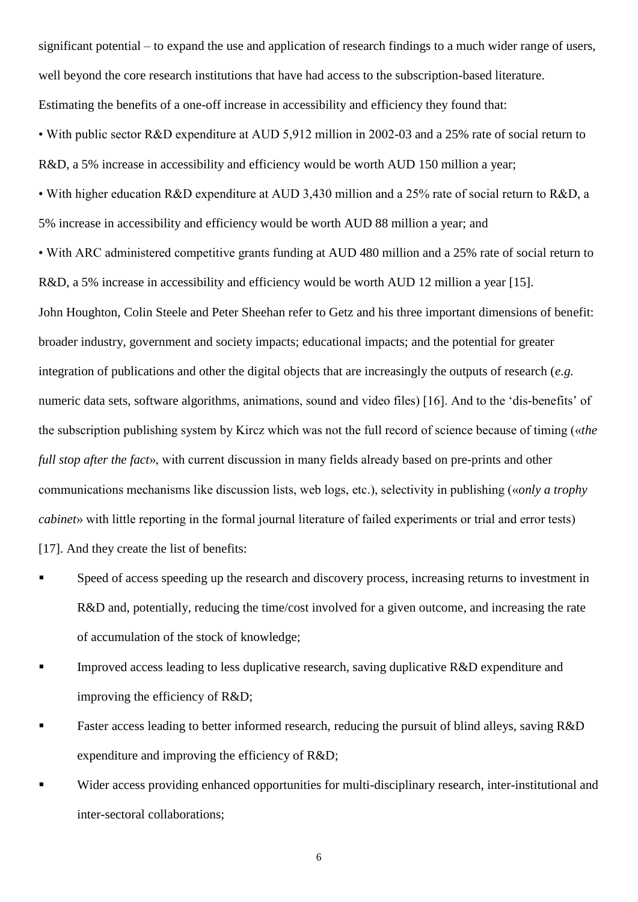significant potential – to expand the use and application of research findings to a much wider range of users, well beyond the core research institutions that have had access to the subscription-based literature. Estimating the benefits of a one-off increase in accessibility and efficiency they found that: • With public sector R&D expenditure at AUD 5,912 million in 2002-03 and a 25% rate of social return to R&D, a 5% increase in accessibility and efficiency would be worth AUD 150 million a year; • With higher education R&D expenditure at AUD 3,430 million and a 25% rate of social return to R&D, a 5% increase in accessibility and efficiency would be worth AUD 88 million a year; and • With ARC administered competitive grants funding at AUD 480 million and a 25% rate of social return to R&D, a 5% increase in accessibility and efficiency would be worth AUD 12 million a year [15]. John Houghton, Colin Steele and Peter Sheehan refer to Getz and his three important dimensions of benefit: broader industry, government and society impacts; educational impacts; and the potential for greater integration of publications and other the digital objects that are increasingly the outputs of research (*e.g.*  numeric data sets, software algorithms, animations, sound and video files) [16]. And to the 'dis-benefits' of the subscription publishing system by Kircz which was not the full record of science because of timing («*the full stop after the fact*», with current discussion in many fields already based on pre-prints and other communications mechanisms like discussion lists, web logs, etc.), selectivity in publishing («*only a trophy cabinet*» with little reporting in the formal journal literature of failed experiments or trial and error tests) [17]. And they create the list of benefits:

- Speed of access speeding up the research and discovery process, increasing returns to investment in R&D and, potentially, reducing the time/cost involved for a given outcome, and increasing the rate of accumulation of the stock of knowledge;
- Improved access leading to less duplicative research, saving duplicative R&D expenditure and improving the efficiency of R&D;
- Faster access leading to better informed research, reducing the pursuit of blind alleys, saving R&D expenditure and improving the efficiency of R&D;
- Wider access providing enhanced opportunities for multi-disciplinary research, inter-institutional and inter-sectoral collaborations;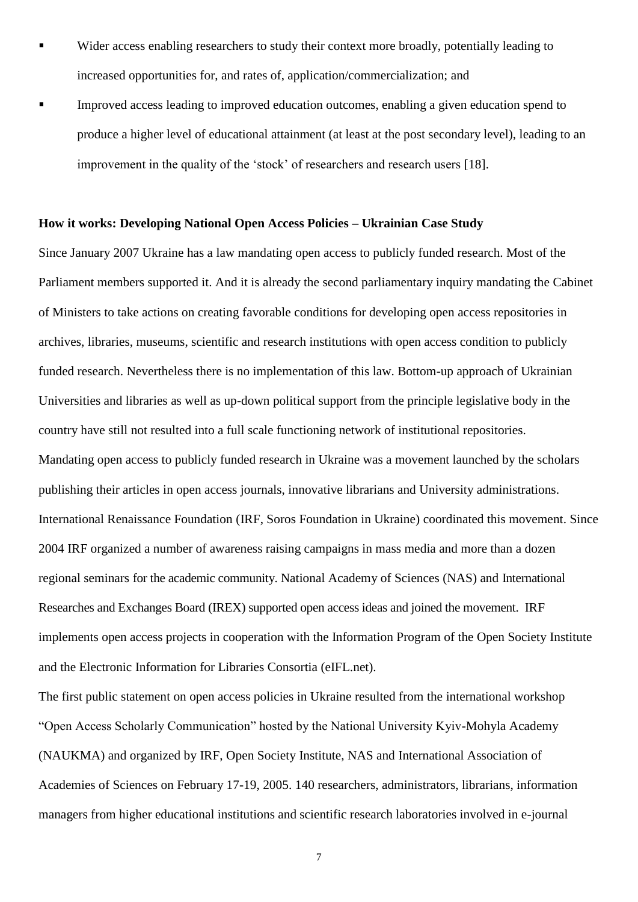- Wider access enabling researchers to study their context more broadly, potentially leading to increased opportunities for, and rates of, application/commercialization; and
- Improved access leading to improved education outcomes, enabling a given education spend to produce a higher level of educational attainment (at least at the post secondary level), leading to an improvement in the quality of the 'stock' of researchers and research users [18].

#### **How it works: Developing National Open Access Policies – Ukrainian Case Study**

Since January 2007 Ukraine has a law mandating open access to publicly funded research. Most of the Parliament members supported it. And it is already the second parliamentary inquiry mandating the Cabinet of Ministers to take actions on creating favorable conditions for developing open access repositories in archives, libraries, museums, scientific and research institutions with open access condition to publicly funded research. Nevertheless there is no implementation of this law. Bottom-up approach of Ukrainian Universities and libraries as well as up-down political support from the principle legislative body in the country have still not resulted into a full scale functioning network of institutional repositories. Mandating open access to publicly funded research in Ukraine was a movement launched by the scholars publishing their articles in open access journals, innovative librarians and University administrations. International Renaissance Foundation (IRF, Soros Foundation in Ukraine) coordinated this movement. Since 2004 IRF organized a number of awareness raising campaigns in mass media and more than a dozen regional seminars for the academic community. National Academy of Sciences (NAS) and International Researches and Exchanges Board (IREX) supported open access ideas and joined the movement. IRF implements open access projects in cooperation with the Information Program of the Open Society Institute and the Electronic Information for Libraries Consortia (eIFL.net).

The first public statement on open access policies in Ukraine resulted from the international workshop ―Open Access Scholarly Communication‖ hosted by the National University Kyiv-Mohyla Academy (NAUKMA) and organized by IRF, Open Society Institute, NAS and International Association of Academies of Sciences on February 17-19, 2005. 140 researchers, administrators, librarians, information managers from higher educational institutions and scientific research laboratories involved in e-journal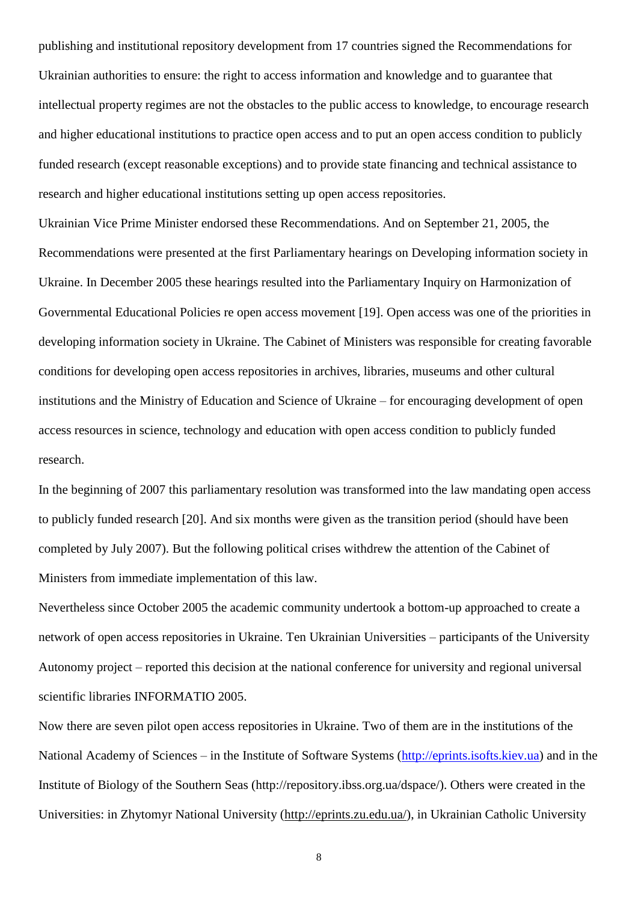publishing and institutional repository development from 17 countries signed the Recommendations for Ukrainian authorities to ensure: the right to access information and knowledge and to guarantee that intellectual property regimes are not the obstacles to the public access to knowledge, to encourage research and higher educational institutions to practice open access and to put an open access condition to publicly funded research (except reasonable exceptions) and to provide state financing and technical assistance to research and higher educational institutions setting up open access repositories.

Ukrainian Vice Prime Minister endorsed these Recommendations. And on September 21, 2005, the Recommendations were presented at the first Parliamentary hearings on Developing information society in Ukraine. In December 2005 these hearings resulted into the Parliamentary Inquiry on Harmonization of Governmental Educational Policies re open access movement [19]. Open access was one of the priorities in developing information society in Ukraine. The Cabinet of Ministers was responsible for creating favorable conditions for developing open access repositories in archives, libraries, museums and other cultural institutions and the Ministry of Education and Science of Ukraine – for encouraging development of open access resources in science, technology and education with open access condition to publicly funded research.

In the beginning of 2007 this parliamentary resolution was transformed into the law mandating open access to publicly funded research [20]. And six months were given as the transition period (should have been completed by July 2007). But the following political crises withdrew the attention of the Cabinet of Ministers from immediate implementation of this law.

Nevertheless since October 2005 the academic community undertook a bottom-up approached to create a network of open access repositories in Ukraine. Ten Ukrainian Universities – participants of the University Autonomy project – reported this decision at the national conference for university and regional universal scientific libraries INFORMATIO 2005.

Now there are seven pilot open access repositories in Ukraine. Two of them are in the institutions of the National Academy of Sciences – in the Institute of Software Systems [\(http://eprints.isofts.kiev.ua\)](http://eprints.isofts.kiev.ua/) and in the Institute of Biology of the Southern Seas (http://repository.ibss.org.ua/dspace/). Others were created in the Universities: in Zhytomyr National University [\(http://eprints.zu.edu.ua/\)](http://eprints.zu.edu.ua/), in Ukrainian Catholic University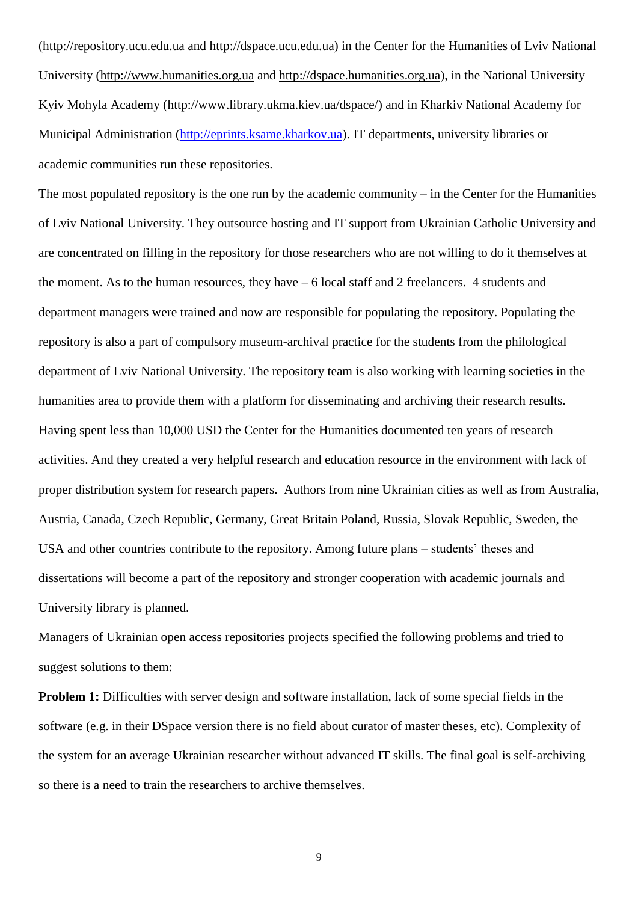[\(http://repository.ucu.edu.ua](http://repository.ucu.edu.ua/) and [http://dspace.ucu.edu.ua\)](http://dspace.ucu.edu.ua/) in the Center for the Humanities of Lviv National University [\(http://www.humanities.org.ua](http://www.humanities.org.ua/) and [http://dspace.humanities.org.ua\)](http://dspace.humanities.org.ua/), in the National University Kyiv Mohyla Academy [\(http://www.library.ukma.kiev.ua/dspace/\)](http://www.library.ukma.kiev.ua/dspace/) and in Kharkiv National Academy for Municipal Administration [\(http://eprints.ksame.kharkov.ua\)](http://eprints.ksame.kharkov.ua/). IT departments, university libraries or academic communities run these repositories.

The most populated repository is the one run by the academic community – in the Center for the Humanities of Lviv National University. They outsource hosting and IT support from Ukrainian Catholic University and are concentrated on filling in the repository for those researchers who are not willing to do it themselves at the moment. As to the human resources, they have – 6 local staff and 2 freelancers. 4 students and department managers were trained and now are responsible for populating the repository. Populating the repository is also a part of compulsory museum-archival practice for the students from the philological department of Lviv National University. The repository team is also working with learning societies in the humanities area to provide them with a platform for disseminating and archiving their research results. Having spent less than 10,000 USD the Center for the Humanities documented ten years of research activities. And they created a very helpful research and education resource in the environment with lack of proper distribution system for research papers. Authors from nine Ukrainian cities as well as from Australia, Austria, Canada, Czech Republic, Germany, Great Britain Poland, Russia, Slovak Republic, Sweden, the USA and other countries contribute to the repository. Among future plans – students' theses and dissertations will become a part of the repository and stronger cooperation with academic journals and University library is planned.

Managers of Ukrainian open access repositories projects specified the following problems and tried to suggest solutions to them:

**Problem 1:** Difficulties with server design and software installation, lack of some special fields in the software (e.g. in their DSpace version there is no field about curator of master theses, etc). Complexity of the system for an average Ukrainian researcher without advanced IT skills. The final goal is self-archiving so there is a need to train the researchers to archive themselves.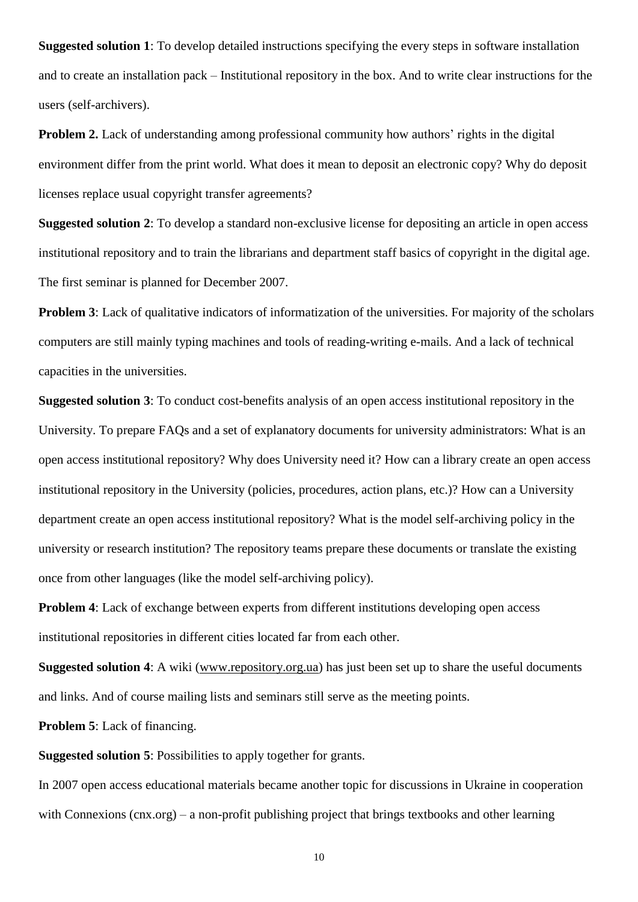**Suggested solution 1**: To develop detailed instructions specifying the every steps in software installation and to create an installation pack – Institutional repository in the box. And to write clear instructions for the users (self-archivers).

**Problem 2.** Lack of understanding among professional community how authors' rights in the digital environment differ from the print world. What does it mean to deposit an electronic copy? Why do deposit licenses replace usual copyright transfer agreements?

**Suggested solution 2**: To develop a standard non-exclusive license for depositing an article in open access institutional repository and to train the librarians and department staff basics of copyright in the digital age. The first seminar is planned for December 2007.

**Problem 3**: Lack of qualitative indicators of informatization of the universities. For majority of the scholars computers are still mainly typing machines and tools of reading-writing e-mails. And a lack of technical capacities in the universities.

**Suggested solution 3**: To conduct cost-benefits analysis of an open access institutional repository in the University. To prepare FAQs and a set of explanatory documents for university administrators: What is an open access institutional repository? Why does University need it? How can a library create an open access institutional repository in the University (policies, procedures, action plans, etc.)? How can a University department create an open access institutional repository? What is the model self-archiving policy in the university or research institution? The repository teams prepare these documents or translate the existing once from other languages (like the model self-archiving policy).

**Problem 4**: Lack of exchange between experts from different institutions developing open access institutional repositories in different cities located far from each other.

**Suggested solution 4**: A wiki [\(www.repository.org.ua\)](http://www.repository.org.ua/) has just been set up to share the useful documents and links. And of course mailing lists and seminars still serve as the meeting points.

**Problem 5**: Lack of financing.

**Suggested solution 5**: Possibilities to apply together for grants.

In 2007 open access educational materials became another topic for discussions in Ukraine in cooperation with Connexions (cnx.org) – a non-profit publishing project that brings textbooks and other learning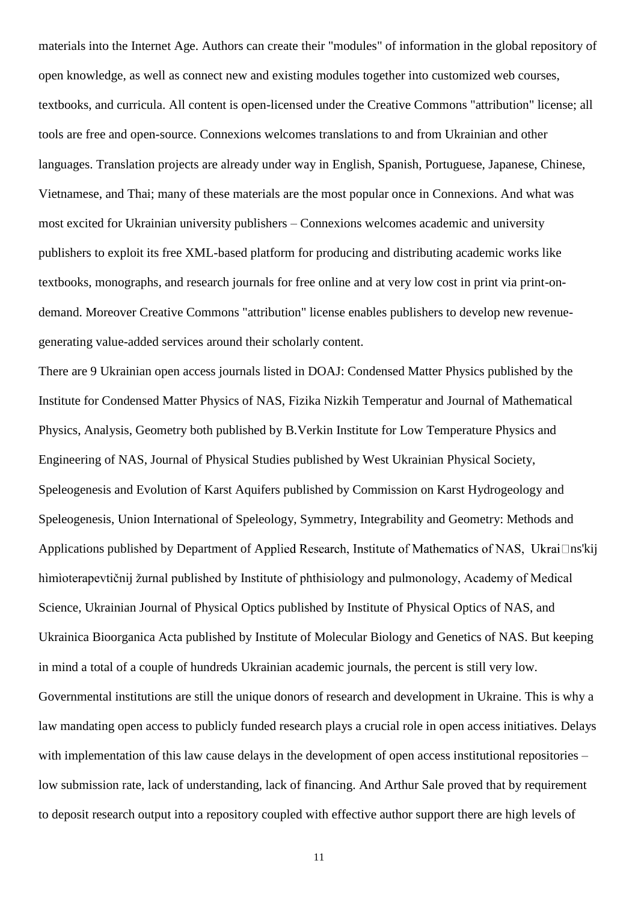materials into the Internet Age. Authors can create their "modules" of information in the global repository of open knowledge, as well as connect new and existing modules together into customized web courses, textbooks, and curricula. All content is open-licensed under the Creative Commons "attribution" license; all tools are free and open-source. Connexions welcomes translations to and from Ukrainian and other languages. Translation projects are already under way in English, Spanish, Portuguese, Japanese, Chinese, Vietnamese, and Thai; many of these materials are the most popular once in Connexions. And what was most excited for Ukrainian university publishers – Connexions welcomes academic and university publishers to exploit its free XML-based platform for producing and distributing academic works like textbooks, monographs, and research journals for free online and at very low cost in print via print-ondemand. Moreover Creative Commons "attribution" license enables publishers to develop new revenuegenerating value-added services around their scholarly content.

There are 9 Ukrainian open access journals listed in DOAJ: Condensed Matter Physics published by the Institute for Condensed Matter Physics of NAS, Fizika Nizkih Temperatur and Journal of Mathematical Physics, Analysis, Geometry both published by B.Verkin Institute for Low Temperature Physics and Engineering of NAS, Journal of Physical Studies published by West Ukrainian Physical Society, Speleogenesis and Evolution of Karst Aquifers published by Commission on Karst Hydrogeology and Speleogenesis, Union International of Speleology, Symmetry, Integrability and Geometry: Methods and Applications published by Department of Applied Research, Institute of Mathematics of NAS, Ukrai $\Box$ ns'kij hìmìoterapevtičnij žurnal published by Institute of phthisiology and pulmonology, Academy of Medical Science, Ukrainian Journal of Physical Optics published by Institute of Physical Optics of NAS, and Ukrainica Bioorganica Acta published by Institute of Molecular Biology and Genetics of NAS. But keeping in mind a total of a couple of hundreds Ukrainian academic journals, the percent is still very low. Governmental institutions are still the unique donors of research and development in Ukraine. This is why a law mandating open access to publicly funded research plays a crucial role in open access initiatives. Delays with implementation of this law cause delays in the development of open access institutional repositories – low submission rate, lack of understanding, lack of financing. And Arthur Sale proved that by requirement to deposit research output into a repository coupled with effective author support there are high levels of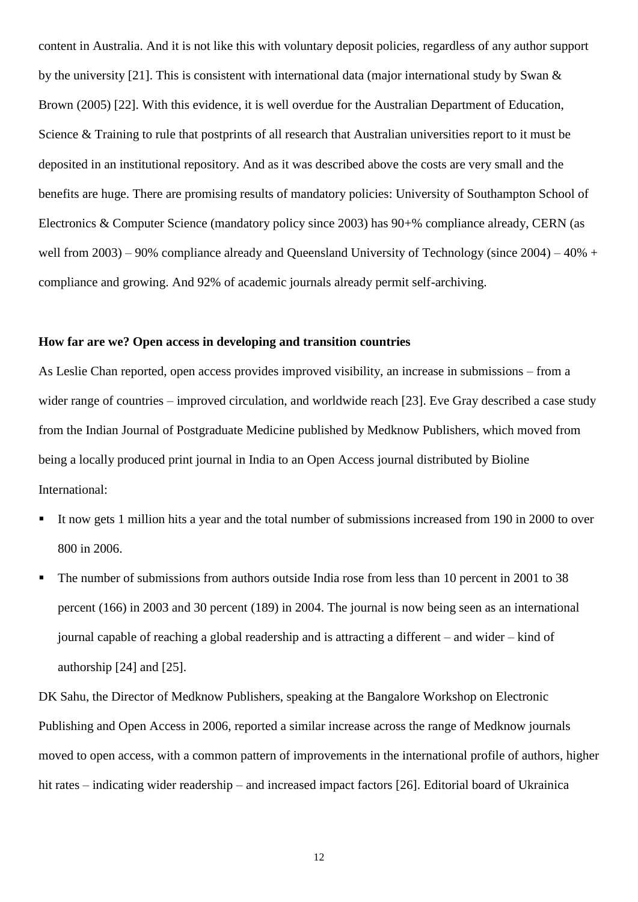content in Australia. And it is not like this with voluntary deposit policies, regardless of any author support by the university [21]. This is consistent with international data (major international study by Swan & Brown (2005) [22]. With this evidence, it is well overdue for the Australian Department of Education, Science & Training to rule that postprints of all research that Australian universities report to it must be deposited in an institutional repository. And as it was described above the costs are very small and the benefits are huge. There are promising results of mandatory policies: University of Southampton School of Electronics & Computer Science (mandatory policy since 2003) has 90+% compliance already, CERN (as well from 2003) – 90% compliance already and Queensland University of Technology (since 2004) – 40% + compliance and growing. And 92% of academic journals already permit self-archiving.

# **How far are we? Open access in developing and transition countries**

As Leslie Chan reported, open access provides improved visibility, an increase in submissions – from a wider range of countries – improved circulation, and worldwide reach [23]. Eve Gray described a case study from the Indian Journal of Postgraduate Medicine published by Medknow Publishers, which moved from being a locally produced print journal in India to an Open Access journal distributed by Bioline International:

- It now gets 1 million hits a year and the total number of submissions increased from 190 in 2000 to over 800 in 2006.
- The number of submissions from authors outside India rose from less than 10 percent in 2001 to 38 percent (166) in 2003 and 30 percent (189) in 2004. The journal is now being seen as an international journal capable of reaching a global readership and is attracting a different – and wider – kind of authorship [24] and [25].

DK Sahu, the Director of Medknow Publishers, speaking at the Bangalore Workshop on Electronic Publishing and Open Access in 2006, reported a similar increase across the range of Medknow journals moved to open access, with a common pattern of improvements in the international profile of authors, higher hit rates – indicating wider readership – and increased impact factors [26]. Editorial board of Ukrainica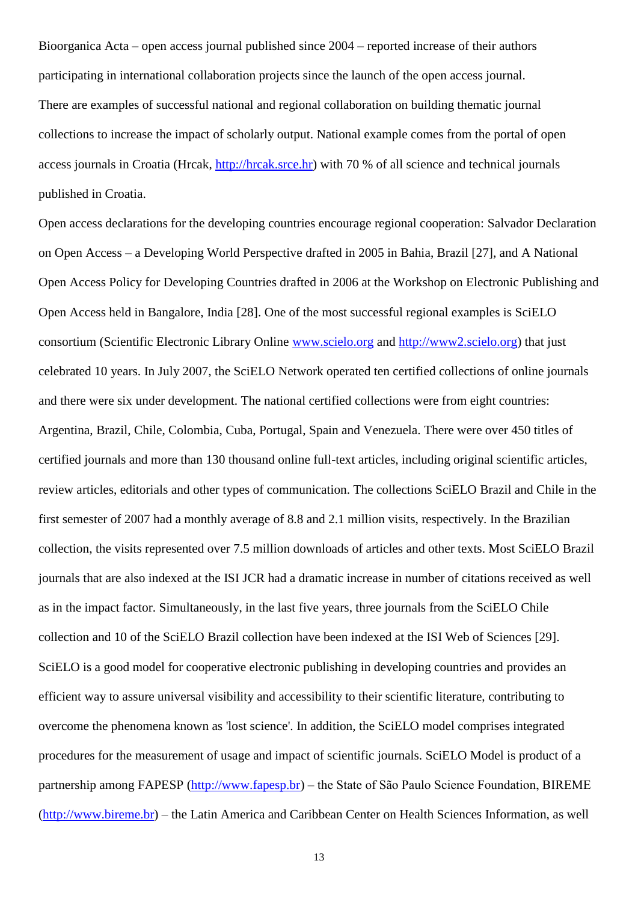Bioorganica Acta – open access journal published since 2004 – reported increase of their authors participating in international collaboration projects since the launch of the open access journal. There are examples of successful national and regional collaboration on building thematic journal collections to increase the impact of scholarly output. National example comes from the portal of open access journals in Croatia (Hrcak, [http://hrcak.srce.hr\)](http://hrcak.srce.hr/) with 70 % of all science and technical journals published in Croatia.

Open access declarations for the developing countries encourage regional cooperation: Salvador Declaration on Open Access – a Developing World Perspective drafted in 2005 in Bahia, Brazil [27], and A National Open Access Policy for Developing Countries drafted in 2006 at the Workshop on Electronic Publishing and Open Access held in Bangalore, India [28]. One of the most successful regional examples is SciELO consortium (Scientific Electronic Library Online [www.scielo.org](http://www.scielo.org/) and [http://www2.scielo.org\)](http://www2.scielo.org/) that just celebrated 10 years. In July 2007, the SciELO Network operated ten certified collections of online journals and there were six under development. The national certified collections were from eight countries: Argentina, Brazil, Chile, Colombia, Cuba, Portugal, Spain and Venezuela. There were over 450 titles of certified journals and more than 130 thousand online full-text articles, including original scientific articles, review articles, editorials and other types of communication. The collections SciELO Brazil and Chile in the first semester of 2007 had a monthly average of 8.8 and 2.1 million visits, respectively. In the Brazilian collection, the visits represented over 7.5 million downloads of articles and other texts. Most SciELO Brazil journals that are also indexed at the ISI JCR had a dramatic increase in number of citations received as well as in the impact factor. Simultaneously, in the last five years, three journals from the SciELO Chile collection and 10 of the SciELO Brazil collection have been indexed at the ISI Web of Sciences [29]. SciELO is a good model for cooperative electronic publishing in developing countries and provides an efficient way to assure universal visibility and accessibility to their scientific literature, contributing to overcome the phenomena known as 'lost science'. In addition, the SciELO model comprises integrated procedures for the measurement of usage and impact of scientific journals. SciELO Model is product of a partnership among FAPESP [\(http://www.fapesp.br\)](http://www.fapesp.br/) – the State of São Paulo Science Foundation, BIREME [\(http://www.bireme.br\)](http://www.bireme.br/) – the Latin America and Caribbean Center on Health Sciences Information, as well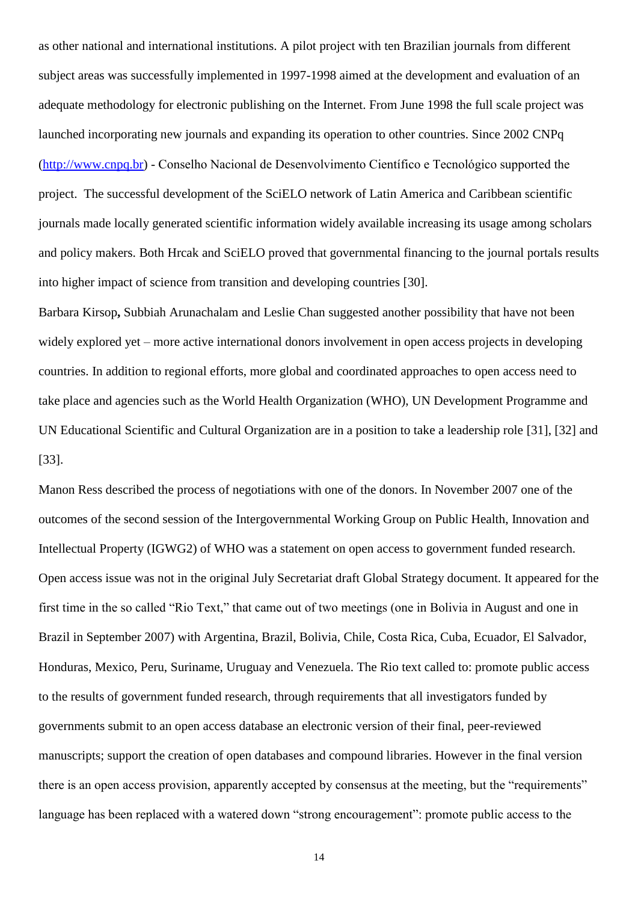as other national and international institutions. A pilot project with ten Brazilian journals from different subject areas was successfully implemented in 1997-1998 aimed at the development and evaluation of an adequate methodology for electronic publishing on the Internet. From June 1998 the full scale project was launched incorporating new journals and expanding its operation to other countries. Since 2002 CNPq [\(http://www.cnpq.br\)](http://www.cnpq.br/) - Conselho Nacional de Desenvolvimento Científico e Tecnológico supported the project. The successful development of the SciELO network of Latin America and Caribbean scientific journals made locally generated scientific information widely available increasing its usage among scholars and policy makers. Both Hrcak and SciELO proved that governmental financing to the journal portals results into higher impact of science from transition and developing countries [30].

Barbara Kirsop**,** Subbiah Arunachalam and Leslie Chan suggested another possibility that have not been widely explored yet – more active international donors involvement in open access projects in developing countries. In addition to regional efforts, more global and coordinated approaches to open access need to take place and agencies such as the World Health Organization (WHO), UN Development Programme and UN Educational Scientific and Cultural Organization are in a position to take a leadership role [31], [32] and [33].

Manon Ress described the process of negotiations with one of the donors. In November 2007 one of the outcomes of the second session of the Intergovernmental Working Group on Public Health, Innovation and Intellectual Property (IGWG2) of WHO was a statement on open access to government funded research. Open access issue was not in the original July Secretariat draft Global Strategy document. It appeared for the first time in the so called "Rio Text," that came out of two meetings (one in Bolivia in August and one in Brazil in September 2007) with Argentina, Brazil, Bolivia, Chile, Costa Rica, Cuba, Ecuador, El Salvador, Honduras, Mexico, Peru, Suriname, Uruguay and Venezuela. The Rio text called to: promote public access to the results of government funded research, through requirements that all investigators funded by governments submit to an open access database an electronic version of their final, peer-reviewed manuscripts; support the creation of open databases and compound libraries. However in the final version there is an open access provision, apparently accepted by consensus at the meeting, but the "requirements" language has been replaced with a watered down "strong encouragement": promote public access to the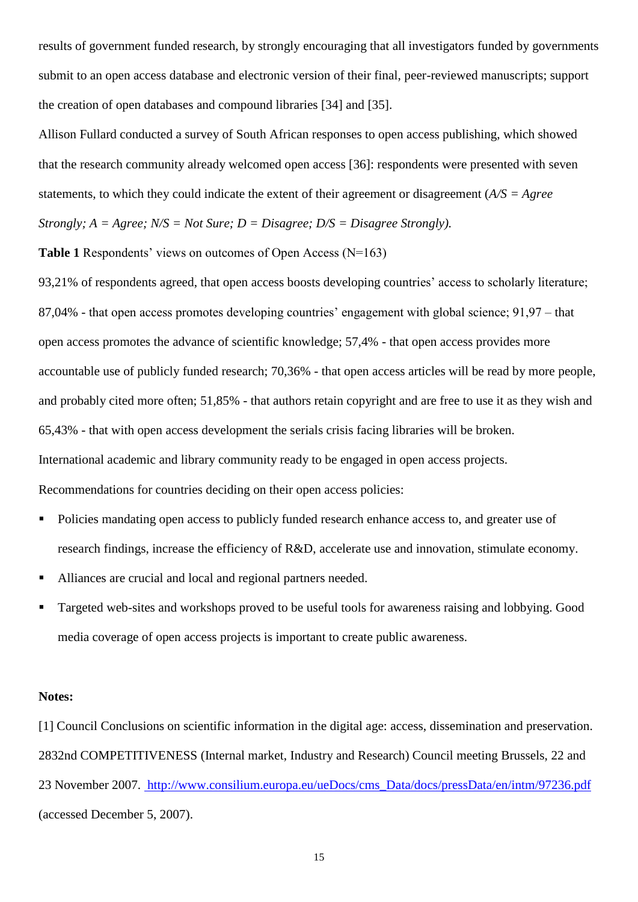results of government funded research, by strongly encouraging that all investigators funded by governments submit to an open access database and electronic version of their final, peer-reviewed manuscripts; support the creation of open databases and compound libraries [34] and [35].

Allison Fullard conducted a survey of South African responses to open access publishing, which showed that the research community already welcomed open access [36]: respondents were presented with seven statements, to which they could indicate the extent of their agreement or disagreement (*A/S = Agree Strongly; A = Agree; N/S = Not Sure; D = Disagree; D/S = Disagree Strongly).* 

**Table 1** Respondents' views on outcomes of Open Access (N=163)

93,21% of respondents agreed, that open access boosts developing countries' access to scholarly literature; 87,04% - that open access promotes developing countries' engagement with global science; 91,97 – that open access promotes the advance of scientific knowledge; 57,4% - that open access provides more accountable use of publicly funded research; 70,36% - that open access articles will be read by more people, and probably cited more often; 51,85% - that authors retain copyright and are free to use it as they wish and 65,43% - that with open access development the serials crisis facing libraries will be broken. International academic and library community ready to be engaged in open access projects. Recommendations for countries deciding on their open access policies:

- Policies mandating open access to publicly funded research enhance access to, and greater use of research findings, increase the efficiency of R&D, accelerate use and innovation, stimulate economy.
- Alliances are crucial and local and regional partners needed.
- Targeted web-sites and workshops proved to be useful tools for awareness raising and lobbying. Good media coverage of open access projects is important to create public awareness.

#### **Notes:**

[1] Council Conclusions on scientific information in the digital age: access, dissemination and preservation. 2832nd COMPETITIVENESS (Internal market, Industry and Research) Council meeting Brussels, 22 and 23 November 2007. [http://www.consilium.europa.eu/ueDocs/cms\\_Data/docs/pressData/en/intm/97236.pdf](http://www.consilium.europa.eu/ueDocs/cms_Data/docs/pressData/en/intm/97236.pdf)  (accessed December 5, 2007).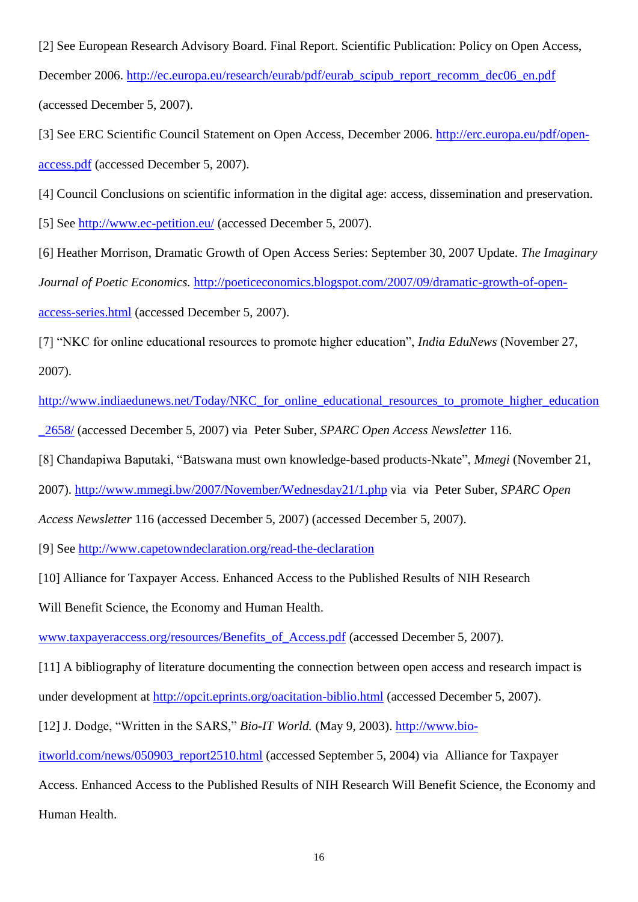[2] See European Research Advisory Board. Final Report. Scientific Publication: Policy on Open Access, December 2006. [http://ec.europa.eu/research/eurab/pdf/eurab\\_scipub\\_report\\_recomm\\_dec06\\_en.pdf](http://ec.europa.eu/research/eurab/pdf/eurab_scipub_report_recomm_dec06_en.pdf) (accessed December 5, 2007).

[3] See ERC Scientific Council Statement on Open Access, December 2006. [http://erc.europa.eu/pdf/open](http://erc.europa.eu/pdf/open-access.pdf)[access.pdf](http://erc.europa.eu/pdf/open-access.pdf) (accessed December 5, 2007).

[4] Council Conclusions on scientific information in the digital age: access, dissemination and preservation.

[5] See<http://www.ec-petition.eu/> (accessed December 5, 2007).

[6] Heather Morrison, Dramatic Growth of Open Access Series: September 30, 2007 Update. *The Imaginary Journal of Poetic Economics.* [http://poeticeconomics.blogspot.com/2007/09/dramatic-growth-of-open](http://poeticeconomics.blogspot.com/2007/09/dramatic-growth-of-open-access-series.html)[access-series.html](http://poeticeconomics.blogspot.com/2007/09/dramatic-growth-of-open-access-series.html) (accessed December 5, 2007).

[7] "NKC for online educational resources to promote higher education", *India EduNews* (November 27, 2007).

[http://www.indiaedunews.net/Today/NKC\\_for\\_online\\_educational\\_resources\\_to\\_promote\\_higher\\_education](http://www.indiaedunews.net/Today/NKC_for_online_educational_resources_to_promote_higher_education_2658/) [\\_2658/](http://www.indiaedunews.net/Today/NKC_for_online_educational_resources_to_promote_higher_education_2658/) (accessed December 5, 2007) via Peter Suber, *[SPARC Open Access Newsletter](http://www.earlham.edu/~peters/fos/2007/11/india-nkc-calls-again-oa-for-publicly.html)* 116.

[8] Chandapiwa Baputaki, "Batswana must own knowledge-based products-Nkate", *Mmegi* (November 21,

2007).<http://www.mmegi.bw/2007/November/Wednesday21/1.php> via [via Peter Suber,](http://www.earlham.edu/~peters/fos/2007/11/botswana-minister-of-education-calls.html) *[SPARC Open](http://www.earlham.edu/~peters/fos/2007/11/botswana-minister-of-education-calls.html)* 

*[Access Newsletter](http://www.earlham.edu/~peters/fos/2007/11/botswana-minister-of-education-calls.html)* 116 (accessed December 5, 2007) (accessed December 5, 2007).

[9] See<http://www.capetowndeclaration.org/read-the-declaration>

[10] Alliance for Taxpayer Access. Enhanced Access to the Published Results of NIH Research

Will Benefit Science, the Economy and Human Health.

[www.taxpayeraccess.org/resources/Benefits\\_of\\_Access.pdf](http://www.taxpayeraccess.org/resources/Benefits_of_Access.pdf) (accessed December 5, 2007).

[11] A bibliography of literature documenting the connection between open access and research impact is under development at<http://opcit.eprints.org/oacitation-biblio.html> (accessed December 5, 2007).

[12] J. Dodge, "Written in the SARS," *Bio-IT World.* (May 9, 2003). [http://www.bio-](http://www.bio-itworld.com/news/050903_report2510.html)

[itworld.com/news/050903\\_report2510.html](http://www.bio-itworld.com/news/050903_report2510.html) (accessed September 5, 2004) via Alliance for Taxpayer

Access. Enhanced Access to the Published Results of NIH Research Will Benefit Science, the Economy and

Human Health.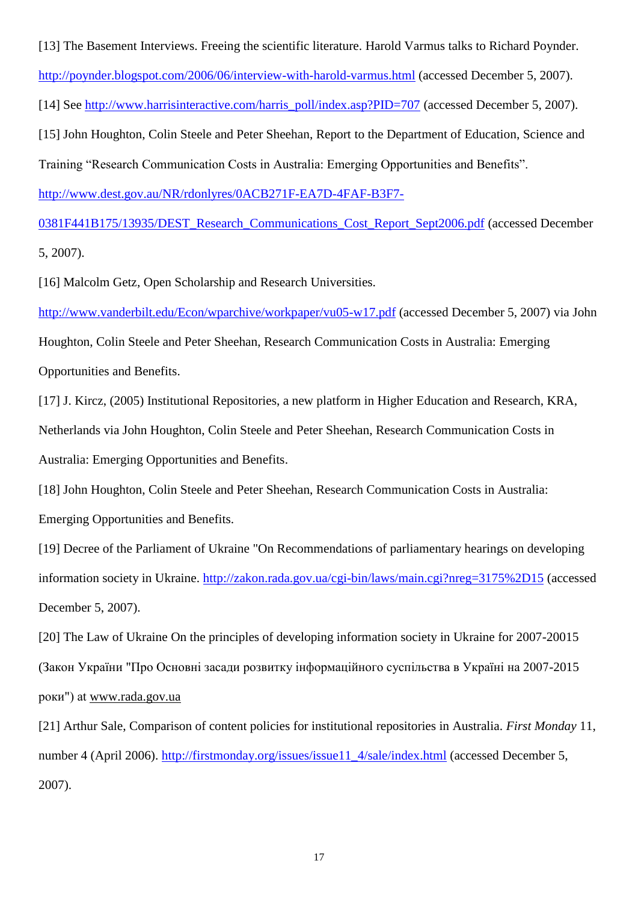[13] The Basement Interviews. Freeing the scientific literature. Harold Varmus talks to Richard Poynder. <http://poynder.blogspot.com/2006/06/interview-with-harold-varmus.html> (accessed December 5, 2007). [14] See [http://www.harrisinteractive.com/harris\\_poll/index.asp?PID=707](http://www.harrisinteractive.com/harris_poll/index.asp?PID=707) (accessed December 5, 2007).

[15] John Houghton, Colin Steele and Peter Sheehan, Report to the Department of Education, Science and Training "Research Communication Costs in Australia: Emerging Opportunities and Benefits".

[http://www.dest.gov.au/NR/rdonlyres/0ACB271F-EA7D-4FAF-B3F7-](http://www.dest.gov.au/NR/rdonlyres/0ACB271F-EA7D-4FAF-B3F7-0381F441B175/13935/DEST_Research_Communications_Cost_Report_Sept2006.pdf)

[0381F441B175/13935/DEST\\_Research\\_Communications\\_Cost\\_Report\\_Sept2006.pdf](http://www.dest.gov.au/NR/rdonlyres/0ACB271F-EA7D-4FAF-B3F7-0381F441B175/13935/DEST_Research_Communications_Cost_Report_Sept2006.pdf) (accessed December 5, 2007).

[16] Malcolm Getz, Open Scholarship and Research Universities.

<http://www.vanderbilt.edu/Econ/wparchive/workpaper/vu05-w17.pdf> [\(accessed December 5, 2007\) via John](http://www.dest.gov.au/NR/rdonlyres/0ACB271F-EA7D-4FAF-B3F7-0381F441B175/13935/DEST_Research_Communications_Cost_Report_Sept2006.pdf) 

[Houghton, Colin Steele and Peter Sheehan, Research Communication Costs in Australia: Emerging](http://www.dest.gov.au/NR/rdonlyres/0ACB271F-EA7D-4FAF-B3F7-0381F441B175/13935/DEST_Research_Communications_Cost_Report_Sept2006.pdf)  [Opportunities and Benefits.](http://www.dest.gov.au/NR/rdonlyres/0ACB271F-EA7D-4FAF-B3F7-0381F441B175/13935/DEST_Research_Communications_Cost_Report_Sept2006.pdf)

[17] J. Kircz, (2005) Institutional Repositories, a new platform in Higher Education and Research, KRA, Netherlands via [John Houghton, Colin Steele and Peter Sheehan, Research Communication Costs in](http://www.dest.gov.au/NR/rdonlyres/0ACB271F-EA7D-4FAF-B3F7-0381F441B175/13935/DEST_Research_Communications_Cost_Report_Sept2006.pdf)  [Australia: Emerging Opportunities and Benefits.](http://www.dest.gov.au/NR/rdonlyres/0ACB271F-EA7D-4FAF-B3F7-0381F441B175/13935/DEST_Research_Communications_Cost_Report_Sept2006.pdf)

[18] John Houghton, Colin Steele and Peter Sheehan, Research Communication Costs in Australia: Emerging Opportunities and Benefits.

[19] Decree of the Parliament of Ukraine "On Recommendations of parliamentary hearings on developing information society in Ukraine.<http://zakon.rada.gov.ua/cgi-bin/laws/main.cgi?nreg=3175%2D15> (accessed December 5, 2007).

[20] The Law of Ukraine On the principles of developing information society in Ukraine for 2007-20015 (Закон України "Про Основні засади розвитку інформаційного суспільства в Україні на 2007-2015 роки") at [www.rada.gov.ua](http://www.rada.gov.ua/)

[21] Arthur Sale, Comparison of content policies for institutional repositories in Australia. *First Monday* 11, number 4 (April 2006). [http://firstmonday.org/issues/issue11\\_4/sale/index.html](http://firstmonday.org/issues/issue11_4/sale/index.html) (accessed December 5, 2007).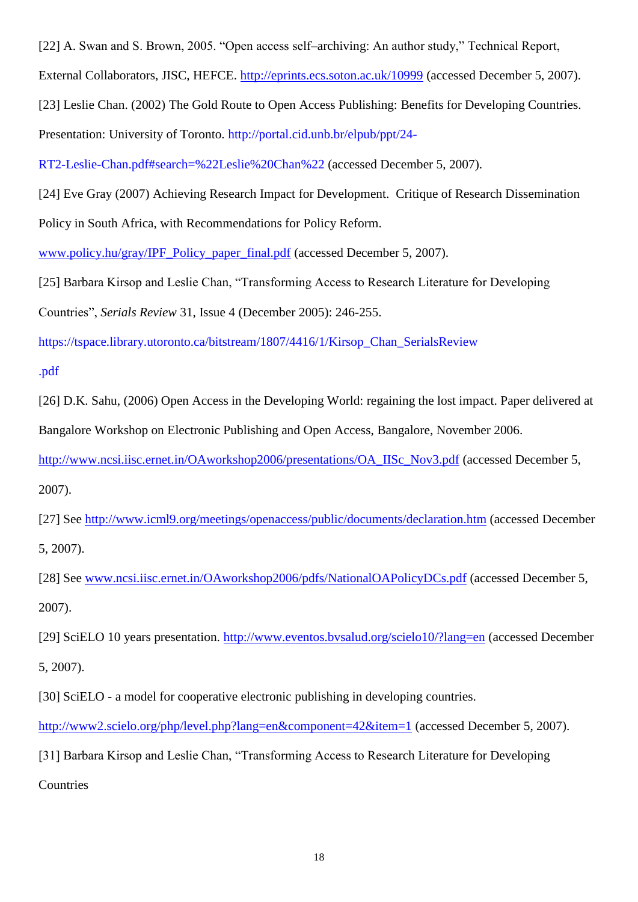[22] A. Swan and S. Brown, 2005. "Open access self–archiving: An author study," Technical Report,

External Collaborators, JISC, HEFCE.<http://eprints.ecs.soton.ac.uk/10999> (accessed December 5, 2007).

[23] Leslie Chan. (2002) The Gold Route to Open Access Publishing: Benefits for Developing Countries.

Presentation: University of Toronto. http://portal.cid.unb.br/elpub/ppt/24-

RT2-Leslie-Chan.pdf#search=%22Leslie%20Chan%22 (accessed December 5, 2007).

[24] Eve Gray (2007) Achieving Research Impact for Development. Critique of Research Dissemination Policy in South Africa, with Recommendations for Policy Reform.

[www.policy.hu/gray/IPF\\_Policy\\_paper\\_final.pdf](http://www.policy.hu/gray/IPF_Policy_paper_final.pdf) (accessed December 5, 2007).

[25] Barbara Kirsop and Leslie Chan, "Transforming Access to Research Literature for Developing

Countries‖, *Serials Review* 31, Issue 4 (December 2005): 246-255.

https://tspace.library.utoronto.ca/bitstream/1807/4416/1/Kirsop\_Chan\_SerialsReview

.pdf

[26] D.K. Sahu, (2006) Open Access in the Developing World: regaining the lost impact. Paper delivered at Bangalore Workshop on Electronic Publishing and Open Access, Bangalore, November 2006.

[http://www.ncsi.iisc.ernet.in/OAworkshop2006/presentations/OA\\_IISc\\_Nov3.pdf](http://www.ncsi.iisc.ernet.in/OAworkshop2006/presentations/OA_IISc_Nov3.pdf) (accessed December 5,

2007).

[27] See<http://www.icml9.org/meetings/openaccess/public/documents/declaration.htm> (accessed December 5, 2007).

[28] See [www.ncsi.iisc.ernet.in/OAworkshop2006/pdfs/NationalOAPolicyDCs.pdf](http://www.ncsi.iisc.ernet.in/OAworkshop2006/pdfs/NationalOAPolicyDCs.pdf) (accessed December 5, 2007).

[29] SciELO 10 years presentation.<http://www.eventos.bvsalud.org/scielo10/?lang=en> (accessed December 5, 2007).

[30] SciELO - a model for cooperative electronic publishing in developing countries.

<http://www2.scielo.org/php/level.php?lang=en&component=42&item=1> (accessed December 5, 2007).

[31] Barbara Kirsop and Leslie Chan, "Transforming Access to Research Literature for Developing **Countries**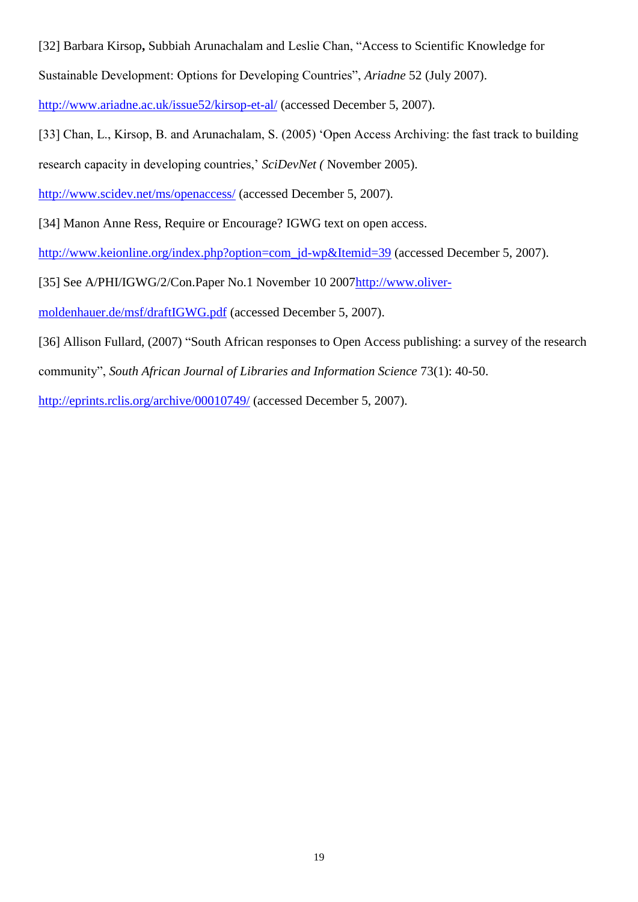[32] Barbara Kirsop, Subbiah Arunachalam and Leslie Chan, "Access to Scientific Knowledge for

Sustainable Development: Options for Developing Countries", *Ariadne* 52 (July 2007).

<http://www.ariadne.ac.uk/issue52/kirsop-et-al/> (accessed December 5, 2007).

[33] Chan, L., Kirsop, B. and Arunachalam, S. (2005) 'Open Access Archiving: the fast track to building

research capacity in developing countries,' *SciDevNet (* November 2005).

<http://www.scidev.net/ms/openaccess/> (accessed December 5, 2007).

[34] Manon Anne Ress, Require or Encourage? IGWG text on open access.

[http://www.keionline.org/index.php?option=com\\_jd-wp&Itemid=39](http://www.keionline.org/index.php?option=com_jd-wp&Itemid=39) (accessed December 5, 2007).

[35] See A/PHI/IGWG/2/Con.Paper No.1 November 10 200[7http://www.oliver-](http://www.oliver-moldenhauer.de/msf/draftIGWG.pdf)

[moldenhauer.de/msf/draftIGWG.pdf](http://www.oliver-moldenhauer.de/msf/draftIGWG.pdf) (accessed December 5, 2007).

[36] Allison Fullard, (2007) "South African responses to Open Access publishing: a survey of the research community", *South African Journal of Libraries and Information Science* 73(1): 40-50.

<http://eprints.rclis.org/archive/00010749/> (accessed December 5, 2007).